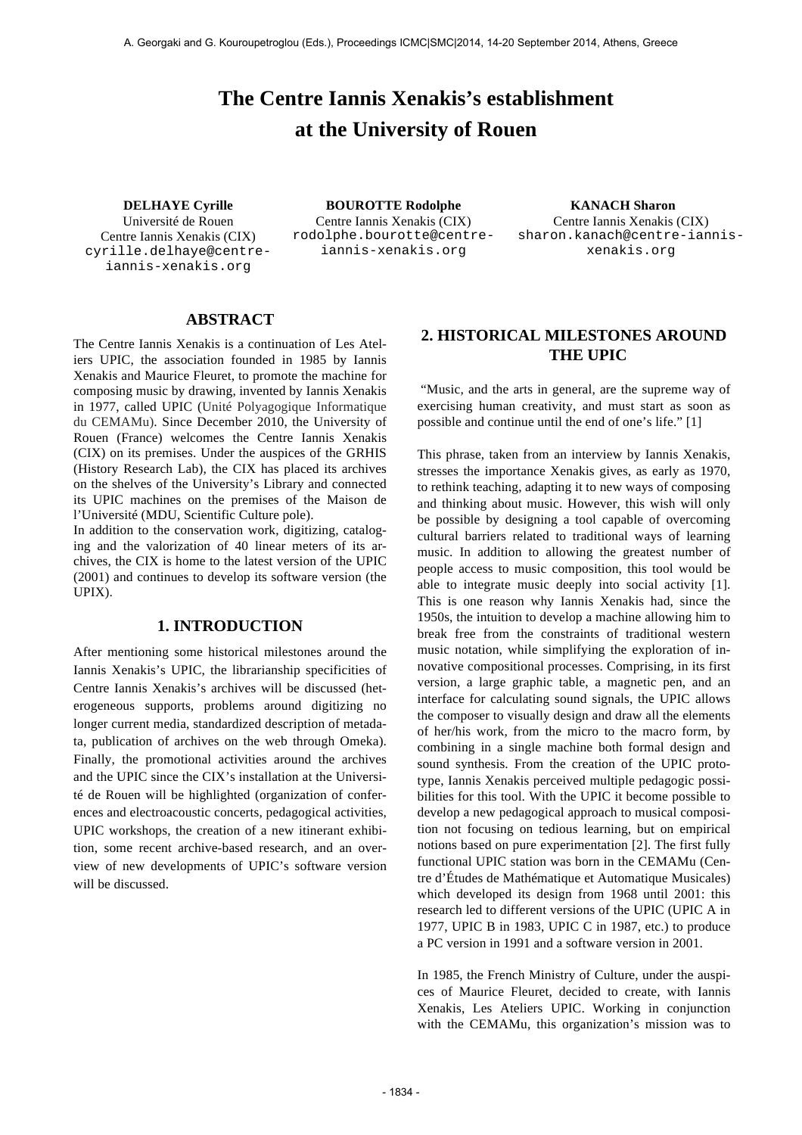# **The Centre Iannis Xenakis's establishment at the University of Rouen**

Université de Rouen Centre Iannis Xenakis (CIX) cyrille.delhaye@centreiannis-xenakis.org

**DELHAYE Cyrille BOUROTTE Rodolphe KANACH Sharon** Centre Iannis Xenakis (CIX) rodolphe.bourotte@centreiannis-xenakis.org

Centre Iannis Xenakis (CIX) sharon.kanach@centre-iannisxenakis.org

## **ABSTRACT**

The Centre Iannis Xenakis is a continuation of Les Ateliers UPIC, the association founded in 1985 by Iannis Xenakis and Maurice Fleuret, to promote the machine for composing music by drawing, invented by Iannis Xenakis in 1977, called UPIC (Unité Polyagogique Informatique du CEMAMu). Since December 2010, the University of Rouen (France) welcomes the Centre Iannis Xenakis (CIX) on its premises. Under the auspices of the GRHIS (History Research Lab), the CIX has placed its archives on the shelves of the University's Library and connected its UPIC machines on the premises of the Maison de l'Université (MDU, Scientific Culture pole).

In addition to the conservation work, digitizing, cataloging and the valorization of 40 linear meters of its archives, the CIX is home to the latest version of the UPIC (2001) and continues to develop its software version (the UPIX).

## **1. INTRODUCTION**

After mentioning some historical milestones around the Iannis Xenakis's UPIC, the librarianship specificities of Centre Iannis Xenakis's archives will be discussed (heterogeneous supports, problems around digitizing no longer current media, standardized description of metadata, publication of archives on the web through Omeka). Finally, the promotional activities around the archives and the UPIC since the CIX's installation at the Université de Rouen will be highlighted (organization of conferences and electroacoustic concerts, pedagogical activities, UPIC workshops, the creation of a new itinerant exhibition, some recent archive-based research, and an overview of new developments of UPIC's software version will be discussed.

# **2. HISTORICAL MILESTONES AROUND THE UPIC**

 "Music, and the arts in general, are the supreme way of exercising human creativity, and must start as soon as possible and continue until the end of one's life." [1]

This phrase, taken from an interview by Iannis Xenakis, stresses the importance Xenakis gives, as early as 1970, to rethink teaching, adapting it to new ways of composing and thinking about music. However, this wish will only be possible by designing a tool capable of overcoming cultural barriers related to traditional ways of learning music. In addition to allowing the greatest number of people access to music composition, this tool would be able to integrate music deeply into social activity [1]. This is one reason why Iannis Xenakis had, since the 1950s, the intuition to develop a machine allowing him to break free from the constraints of traditional western music notation, while simplifying the exploration of innovative compositional processes. Comprising, in its first version, a large graphic table, a magnetic pen, and an interface for calculating sound signals, the UPIC allows the composer to visually design and draw all the elements of her/his work, from the micro to the macro form, by combining in a single machine both formal design and sound synthesis. From the creation of the UPIC prototype, Iannis Xenakis perceived multiple pedagogic possibilities for this tool. With the UPIC it become possible to develop a new pedagogical approach to musical composition not focusing on tedious learning, but on empirical notions based on pure experimentation [2]. The first fully functional UPIC station was born in the CEMAMu (Centre d'Études de Mathématique et Automatique Musicales) which developed its design from 1968 until 2001: this research led to different versions of the UPIC (UPIC A in 1977, UPIC B in 1983, UPIC C in 1987, etc.) to produce a PC version in 1991 and a software version in 2001.

In 1985, the French Ministry of Culture, under the auspices of Maurice Fleuret, decided to create, with Iannis Xenakis, Les Ateliers UPIC. Working in conjunction with the CEMAMu, this organization's mission was to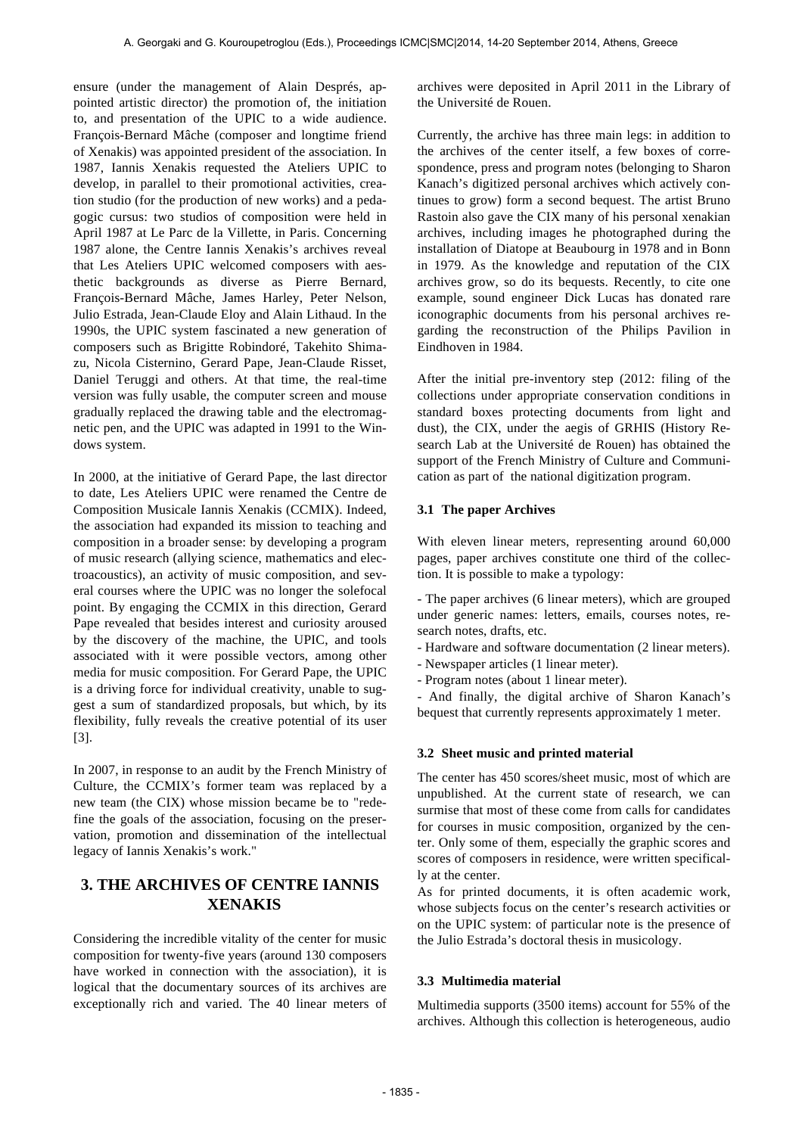ensure (under the management of Alain Després, appointed artistic director) the promotion of, the initiation to, and presentation of the UPIC to a wide audience. François-Bernard Mâche (composer and longtime friend of Xenakis) was appointed president of the association. In 1987, Iannis Xenakis requested the Ateliers UPIC to develop, in parallel to their promotional activities, creation studio (for the production of new works) and a pedagogic cursus: two studios of composition were held in April 1987 at Le Parc de la Villette, in Paris. Concerning 1987 alone, the Centre Iannis Xenakis's archives reveal that Les Ateliers UPIC welcomed composers with aesthetic backgrounds as diverse as Pierre Bernard, François-Bernard Mâche, James Harley, Peter Nelson, Julio Estrada, Jean-Claude Eloy and Alain Lithaud. In the 1990s, the UPIC system fascinated a new generation of composers such as Brigitte Robindoré, Takehito Shimazu, Nicola Cisternino, Gerard Pape, Jean-Claude Risset, Daniel Teruggi and others. At that time, the real-time version was fully usable, the computer screen and mouse gradually replaced the drawing table and the electromagnetic pen, and the UPIC was adapted in 1991 to the Windows system.

In 2000, at the initiative of Gerard Pape, the last director to date, Les Ateliers UPIC were renamed the Centre de Composition Musicale Iannis Xenakis (CCMIX). Indeed, the association had expanded its mission to teaching and composition in a broader sense: by developing a program of music research (allying science, mathematics and electroacoustics), an activity of music composition, and several courses where the UPIC was no longer the solefocal point. By engaging the CCMIX in this direction, Gerard Pape revealed that besides interest and curiosity aroused by the discovery of the machine, the UPIC, and tools associated with it were possible vectors, among other media for music composition. For Gerard Pape, the UPIC is a driving force for individual creativity, unable to suggest a sum of standardized proposals, but which, by its flexibility, fully reveals the creative potential of its user [3].

In 2007, in response to an audit by the French Ministry of Culture, the CCMIX's former team was replaced by a new team (the CIX) whose mission became be to "redefine the goals of the association, focusing on the preservation, promotion and dissemination of the intellectual legacy of Iannis Xenakis's work."

# **3. THE ARCHIVES OF CENTRE IANNIS XENAKIS**

Considering the incredible vitality of the center for music composition for twenty-five years (around 130 composers have worked in connection with the association), it is logical that the documentary sources of its archives are exceptionally rich and varied. The 40 linear meters of archives were deposited in April 2011 in the Library of the Université de Rouen.

Currently, the archive has three main legs: in addition to the archives of the center itself, a few boxes of correspondence, press and program notes (belonging to Sharon Kanach's digitized personal archives which actively continues to grow) form a second bequest. The artist Bruno Rastoin also gave the CIX many of his personal xenakian archives, including images he photographed during the installation of Diatope at Beaubourg in 1978 and in Bonn in 1979. As the knowledge and reputation of the CIX archives grow, so do its bequests. Recently, to cite one example, sound engineer Dick Lucas has donated rare iconographic documents from his personal archives regarding the reconstruction of the Philips Pavilion in Eindhoven in 1984.

After the initial pre-inventory step (2012: filing of the collections under appropriate conservation conditions in standard boxes protecting documents from light and dust), the CIX, under the aegis of GRHIS (History Research Lab at the Université de Rouen) has obtained the support of the French Ministry of Culture and Communication as part of the national digitization program.

## **3.1 The paper Archives**

With eleven linear meters, representing around 60,000 pages, paper archives constitute one third of the collection. It is possible to make a typology:

- The paper archives (6 linear meters), which are grouped under generic names: letters, emails, courses notes, research notes, drafts, etc.

- Hardware and software documentation (2 linear meters).
- Newspaper articles (1 linear meter).
- Program notes (about 1 linear meter).

- And finally, the digital archive of Sharon Kanach's bequest that currently represents approximately 1 meter.

## **3.2 Sheet music and printed material**

The center has 450 scores/sheet music, most of which are unpublished. At the current state of research, we can surmise that most of these come from calls for candidates for courses in music composition, organized by the center. Only some of them, especially the graphic scores and scores of composers in residence, were written specifically at the center.

As for printed documents, it is often academic work, whose subjects focus on the center's research activities or on the UPIC system: of particular note is the presence of the Julio Estrada's doctoral thesis in musicology.

## **3.3 Multimedia material**

Multimedia supports (3500 items) account for 55% of the archives. Although this collection is heterogeneous, audio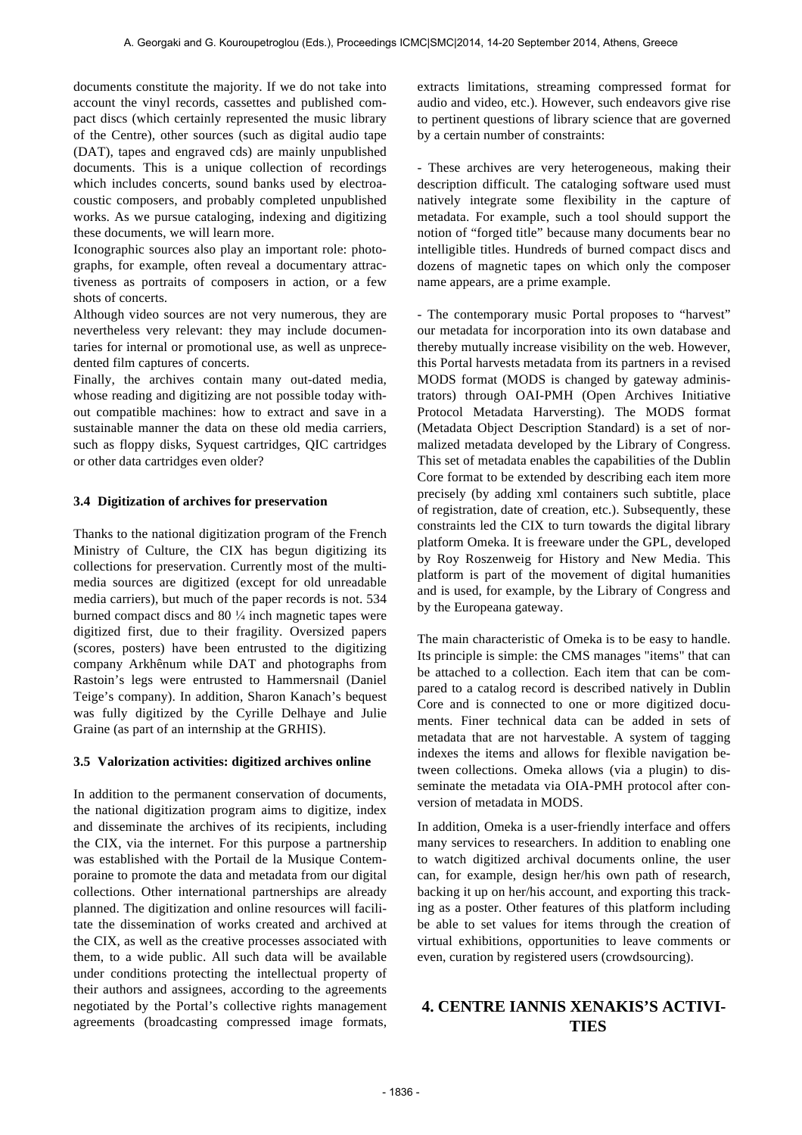documents constitute the majority. If we do not take into account the vinyl records, cassettes and published compact discs (which certainly represented the music library of the Centre), other sources (such as digital audio tape (DAT), tapes and engraved cds) are mainly unpublished documents. This is a unique collection of recordings which includes concerts, sound banks used by electroacoustic composers, and probably completed unpublished works. As we pursue cataloging, indexing and digitizing these documents, we will learn more.

Iconographic sources also play an important role: photographs, for example, often reveal a documentary attractiveness as portraits of composers in action, or a few shots of concerts.

Although video sources are not very numerous, they are nevertheless very relevant: they may include documentaries for internal or promotional use, as well as unprecedented film captures of concerts.

Finally, the archives contain many out-dated media, whose reading and digitizing are not possible today without compatible machines: how to extract and save in a sustainable manner the data on these old media carriers, such as floppy disks, Syquest cartridges, QIC cartridges or other data cartridges even older?

#### **3.4 Digitization of archives for preservation**

Thanks to the national digitization program of the French Ministry of Culture, the CIX has begun digitizing its collections for preservation. Currently most of the multimedia sources are digitized (except for old unreadable media carriers), but much of the paper records is not. 534 burned compact discs and 80  $\frac{1}{4}$  inch magnetic tapes were digitized first, due to their fragility. Oversized papers (scores, posters) have been entrusted to the digitizing company Arkhênum while DAT and photographs from Rastoin's legs were entrusted to Hammersnail (Daniel Teige's company). In addition, Sharon Kanach's bequest was fully digitized by the Cyrille Delhaye and Julie Graine (as part of an internship at the GRHIS).

#### **3.5 Valorization activities: digitized archives online**

In addition to the permanent conservation of documents, the national digitization program aims to digitize, index and disseminate the archives of its recipients, including the CIX, via the internet. For this purpose a partnership was established with the Portail de la Musique Contemporaine to promote the data and metadata from our digital collections. Other international partnerships are already planned. The digitization and online resources will facilitate the dissemination of works created and archived at the CIX, as well as the creative processes associated with them, to a wide public. All such data will be available under conditions protecting the intellectual property of their authors and assignees, according to the agreements negotiated by the Portal's collective rights management agreements (broadcasting compressed image formats,

extracts limitations, streaming compressed format for audio and video, etc.). However, such endeavors give rise to pertinent questions of library science that are governed by a certain number of constraints:

- These archives are very heterogeneous, making their description difficult. The cataloging software used must natively integrate some flexibility in the capture of metadata. For example, such a tool should support the notion of "forged title" because many documents bear no intelligible titles. Hundreds of burned compact discs and dozens of magnetic tapes on which only the composer name appears, are a prime example.

- The contemporary music Portal proposes to "harvest" our metadata for incorporation into its own database and thereby mutually increase visibility on the web. However, this Portal harvests metadata from its partners in a revised MODS format (MODS is changed by gateway administrators) through OAI-PMH (Open Archives Initiative Protocol Metadata Harversting). The MODS format (Metadata Object Description Standard) is a set of normalized metadata developed by the Library of Congress. This set of metadata enables the capabilities of the Dublin Core format to be extended by describing each item more precisely (by adding xml containers such subtitle, place of registration, date of creation, etc.). Subsequently, these constraints led the CIX to turn towards the digital library platform Omeka. It is freeware under the GPL, developed by Roy Roszenweig for History and New Media. This platform is part of the movement of digital humanities and is used, for example, by the Library of Congress and by the Europeana gateway.

The main characteristic of Omeka is to be easy to handle. Its principle is simple: the CMS manages "items" that can be attached to a collection. Each item that can be compared to a catalog record is described natively in Dublin Core and is connected to one or more digitized documents. Finer technical data can be added in sets of metadata that are not harvestable. A system of tagging indexes the items and allows for flexible navigation between collections. Omeka allows (via a plugin) to disseminate the metadata via OIA-PMH protocol after conversion of metadata in MODS.

In addition, Omeka is a user-friendly interface and offers many services to researchers. In addition to enabling one to watch digitized archival documents online, the user can, for example, design her/his own path of research, backing it up on her/his account, and exporting this tracking as a poster. Other features of this platform including be able to set values for items through the creation of virtual exhibitions, opportunities to leave comments or even, curation by registered users (crowdsourcing).

# **4. CENTRE IANNIS XENAKIS'S ACTIVI-TIES**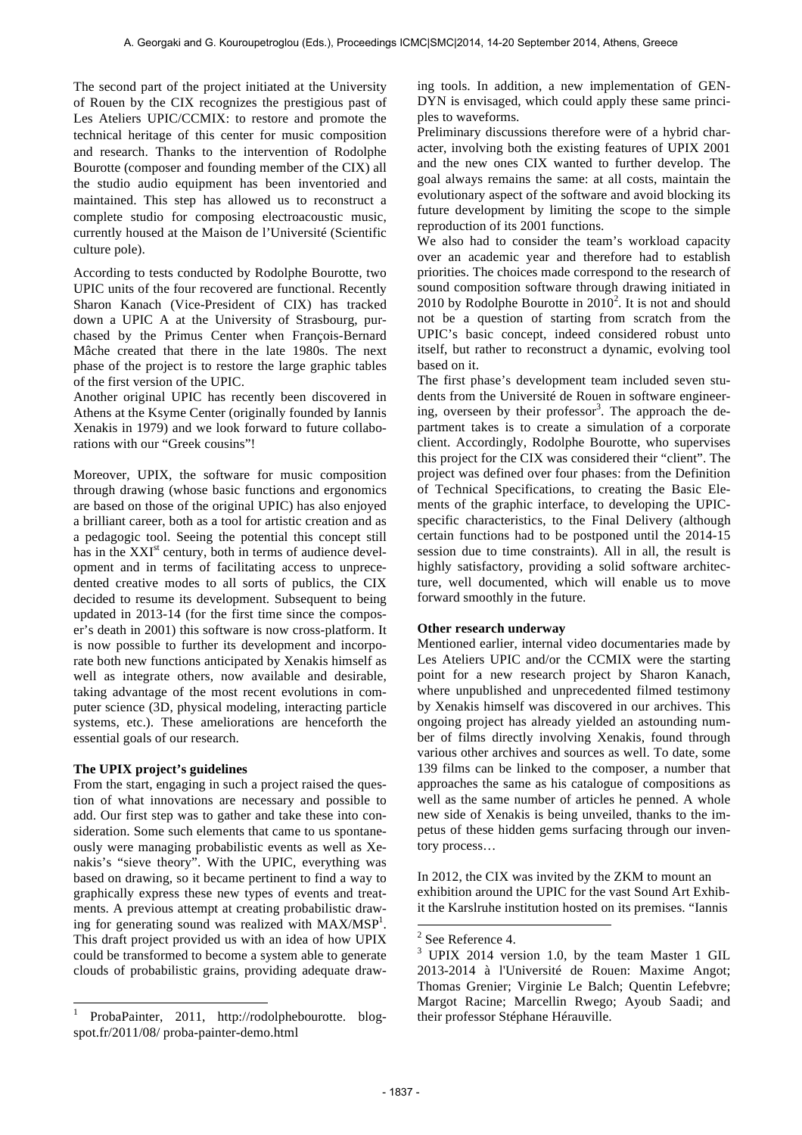The second part of the project initiated at the University of Rouen by the CIX recognizes the prestigious past of Les Ateliers UPIC/CCMIX: to restore and promote the technical heritage of this center for music composition and research. Thanks to the intervention of Rodolphe Bourotte (composer and founding member of the CIX) all the studio audio equipment has been inventoried and maintained. This step has allowed us to reconstruct a complete studio for composing electroacoustic music, currently housed at the Maison de l'Université (Scientific culture pole).

According to tests conducted by Rodolphe Bourotte, two UPIC units of the four recovered are functional. Recently Sharon Kanach (Vice-President of CIX) has tracked down a UPIC A at the University of Strasbourg, purchased by the Primus Center when François-Bernard Mâche created that there in the late 1980s. The next phase of the project is to restore the large graphic tables of the first version of the UPIC.

Another original UPIC has recently been discovered in Athens at the Ksyme Center (originally founded by Iannis Xenakis in 1979) and we look forward to future collaborations with our "Greek cousins"!

Moreover, UPIX, the software for music composition through drawing (whose basic functions and ergonomics are based on those of the original UPIC) has also enjoyed a brilliant career, both as a tool for artistic creation and as a pedagogic tool. Seeing the potential this concept still has in the  $XXI<sup>st</sup>$  century, both in terms of audience development and in terms of facilitating access to unprecedented creative modes to all sorts of publics, the CIX decided to resume its development. Subsequent to being updated in 2013-14 (for the first time since the composer's death in 2001) this software is now cross-platform. It is now possible to further its development and incorporate both new functions anticipated by Xenakis himself as well as integrate others, now available and desirable, taking advantage of the most recent evolutions in computer science (3D, physical modeling, interacting particle systems, etc.). These ameliorations are henceforth the essential goals of our research.

## **The UPIX project's guidelines**

 $\overline{\phantom{a}}$ 

From the start, engaging in such a project raised the question of what innovations are necessary and possible to add. Our first step was to gather and take these into consideration. Some such elements that came to us spontaneously were managing probabilistic events as well as Xenakis's "sieve theory". With the UPIC, everything was based on drawing, so it became pertinent to find a way to graphically express these new types of events and treatments. A previous attempt at creating probabilistic drawing for generating sound was realized with  $MAX/MSP<sup>1</sup>$ . This draft project provided us with an idea of how UPIX could be transformed to become a system able to generate clouds of probabilistic grains, providing adequate drawing tools. In addition, a new implementation of GEN-DYN is envisaged, which could apply these same principles to waveforms.

Preliminary discussions therefore were of a hybrid character, involving both the existing features of UPIX 2001 and the new ones CIX wanted to further develop. The goal always remains the same: at all costs, maintain the evolutionary aspect of the software and avoid blocking its future development by limiting the scope to the simple reproduction of its 2001 functions.

We also had to consider the team's workload capacity over an academic year and therefore had to establish priorities. The choices made correspond to the research of sound composition software through drawing initiated in 2010 by Rodolphe Bourotte in  $2010^2$ . It is not and should not be a question of starting from scratch from the UPIC's basic concept, indeed considered robust unto itself, but rather to reconstruct a dynamic, evolving tool based on it.

The first phase's development team included seven students from the Université de Rouen in software engineering, overseen by their professor<sup>3</sup>. The approach the department takes is to create a simulation of a corporate client. Accordingly, Rodolphe Bourotte, who supervises this project for the CIX was considered their "client". The project was defined over four phases: from the Definition of Technical Specifications, to creating the Basic Elements of the graphic interface, to developing the UPICspecific characteristics, to the Final Delivery (although certain functions had to be postponed until the 2014-15 session due to time constraints). All in all, the result is highly satisfactory, providing a solid software architecture, well documented, which will enable us to move forward smoothly in the future.

# **Other research underway**

Mentioned earlier, internal video documentaries made by Les Ateliers UPIC and/or the CCMIX were the starting point for a new research project by Sharon Kanach, where unpublished and unprecedented filmed testimony by Xenakis himself was discovered in our archives. This ongoing project has already yielded an astounding number of films directly involving Xenakis, found through various other archives and sources as well. To date, some 139 films can be linked to the composer, a number that approaches the same as his catalogue of compositions as well as the same number of articles he penned. A whole new side of Xenakis is being unveiled, thanks to the impetus of these hidden gems surfacing through our inventory process…

In 2012, the CIX was invited by the ZKM to mount an exhibition around the UPIC for the vast Sound Art Exhibit the Karslruhe institution hosted on its premises. "Iannis

 $2$  See Reference 4.

l

ProbaPainter, 2011, http://rodolphebourotte. blogspot.fr/2011/08/ proba-painter-demo.html

<sup>3</sup> UPIX 2014 version 1.0, by the team Master 1 GIL 2013-2014 à l'Université de Rouen: Maxime Angot; Thomas Grenier; Virginie Le Balch; Quentin Lefebvre; Margot Racine; Marcellin Rwego; Ayoub Saadi; and their professor Stéphane Hérauville.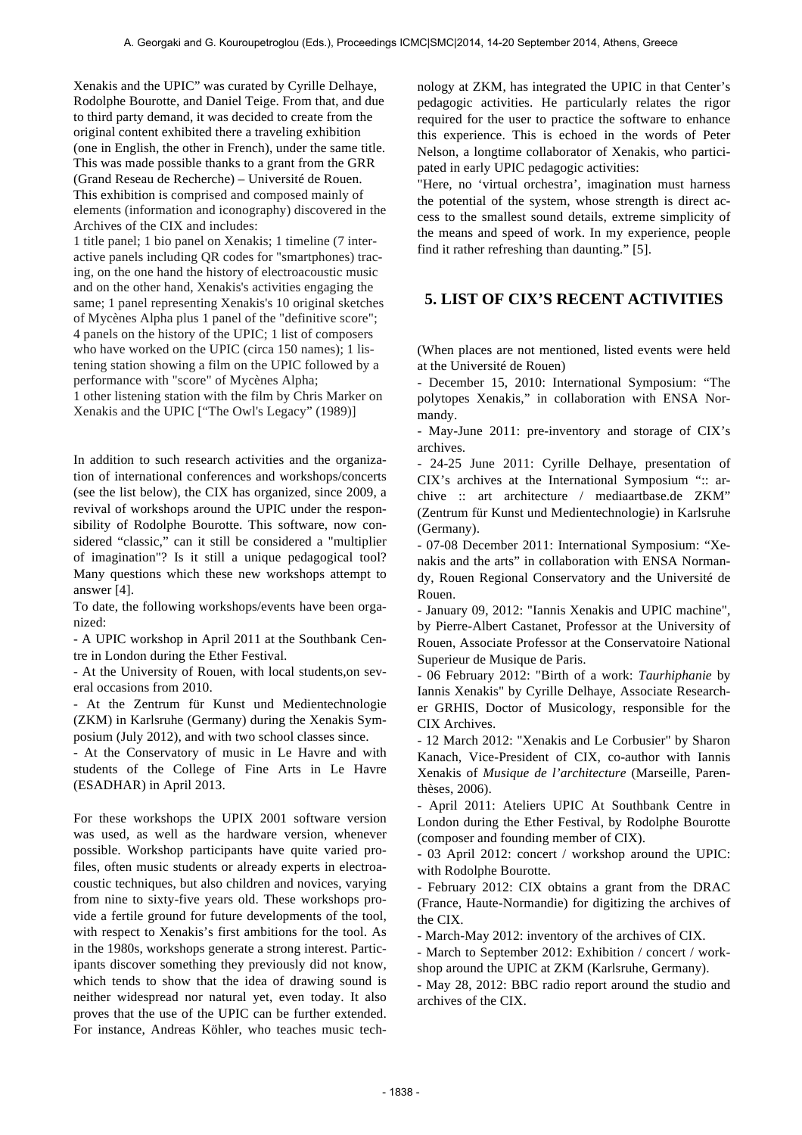Xenakis and the UPIC" was curated by Cyrille Delhaye, Rodolphe Bourotte, and Daniel Teige. From that, and due to third party demand, it was decided to create from the original content exhibited there a traveling exhibition (one in English, the other in French), under the same title. This was made possible thanks to a grant from the GRR (Grand Reseau de Recherche) – Université de Rouen. This exhibition is comprised and composed mainly of elements (information and iconography) discovered in the Archives of the CIX and includes: 1 title panel; 1 bio panel on Xenakis; 1 timeline (7 inter-

active panels including QR codes for "smartphones) tracing, on the one hand the history of electroacoustic music and on the other hand, Xenakis's activities engaging the same; 1 panel representing Xenakis's 10 original sketches of Mycènes Alpha plus 1 panel of the "definitive score"; 4 panels on the history of the UPIC; 1 list of composers who have worked on the UPIC (circa 150 names); 1 listening station showing a film on the UPIC followed by a performance with "score" of Mycènes Alpha; 1 other listening station with the film by Chris Marker on Xenakis and the UPIC ["The Owl's Legacy" (1989)]

In addition to such research activities and the organization of international conferences and workshops/concerts (see the list below), the CIX has organized, since 2009, a revival of workshops around the UPIC under the responsibility of Rodolphe Bourotte. This software, now considered "classic," can it still be considered a "multiplier of imagination"? Is it still a unique pedagogical tool? Many questions which these new workshops attempt to answer [4].

To date, the following workshops/events have been organized:

- A UPIC workshop in April 2011 at the Southbank Centre in London during the Ether Festival.

- At the University of Rouen, with local students,on several occasions from 2010.

- At the Zentrum für Kunst und Medientechnologie (ZKM) in Karlsruhe (Germany) during the Xenakis Symposium (July 2012), and with two school classes since.

- At the Conservatory of music in Le Havre and with students of the College of Fine Arts in Le Havre (ESADHAR) in April 2013.

For these workshops the UPIX 2001 software version was used, as well as the hardware version, whenever possible. Workshop participants have quite varied profiles, often music students or already experts in electroacoustic techniques, but also children and novices, varying from nine to sixty-five years old. These workshops provide a fertile ground for future developments of the tool, with respect to Xenakis's first ambitions for the tool. As in the 1980s, workshops generate a strong interest. Participants discover something they previously did not know, which tends to show that the idea of drawing sound is neither widespread nor natural yet, even today. It also proves that the use of the UPIC can be further extended. For instance, Andreas Köhler, who teaches music technology at ZKM, has integrated the UPIC in that Center's pedagogic activities. He particularly relates the rigor required for the user to practice the software to enhance this experience. This is echoed in the words of Peter Nelson, a longtime collaborator of Xenakis, who participated in early UPIC pedagogic activities:

"Here, no 'virtual orchestra', imagination must harness the potential of the system, whose strength is direct access to the smallest sound details, extreme simplicity of the means and speed of work. In my experience, people find it rather refreshing than daunting." [5].

# **5. LIST OF CIX'S RECENT ACTIVITIES**

(When places are not mentioned, listed events were held at the Université de Rouen)

- December 15, 2010: International Symposium: "The polytopes Xenakis," in collaboration with ENSA Normandy.

- May-June 2011: pre-inventory and storage of CIX's archives.

- 24-25 June 2011: Cyrille Delhaye, presentation of CIX's archives at the International Symposium ":: archive :: art architecture / mediaartbase.de ZKM" (Zentrum für Kunst und Medientechnologie) in Karlsruhe (Germany).

- 07-08 December 2011: International Symposium: "Xenakis and the arts" in collaboration with ENSA Normandy, Rouen Regional Conservatory and the Université de Rouen.

- January 09, 2012: "Iannis Xenakis and UPIC machine", by Pierre-Albert Castanet, Professor at the University of Rouen, Associate Professor at the Conservatoire National Superieur de Musique de Paris.

- 06 February 2012: "Birth of a work: *Taurhiphanie* by Iannis Xenakis" by Cyrille Delhaye, Associate Researcher GRHIS, Doctor of Musicology, responsible for the CIX Archives.

- 12 March 2012: "Xenakis and Le Corbusier" by Sharon Kanach, Vice-President of CIX, co-author with Iannis Xenakis of *Musique de l'architecture* (Marseille, Parenthèses, 2006).

- April 2011: Ateliers UPIC At Southbank Centre in London during the Ether Festival, by Rodolphe Bourotte (composer and founding member of CIX).

- 03 April 2012: concert / workshop around the UPIC: with Rodolphe Bourotte.

- February 2012: CIX obtains a grant from the DRAC (France, Haute-Normandie) for digitizing the archives of the CIX.

- March-May 2012: inventory of the archives of CIX.

- March to September 2012: Exhibition / concert / workshop around the UPIC at ZKM (Karlsruhe, Germany).

- May 28, 2012: BBC radio report around the studio and archives of the CIX.